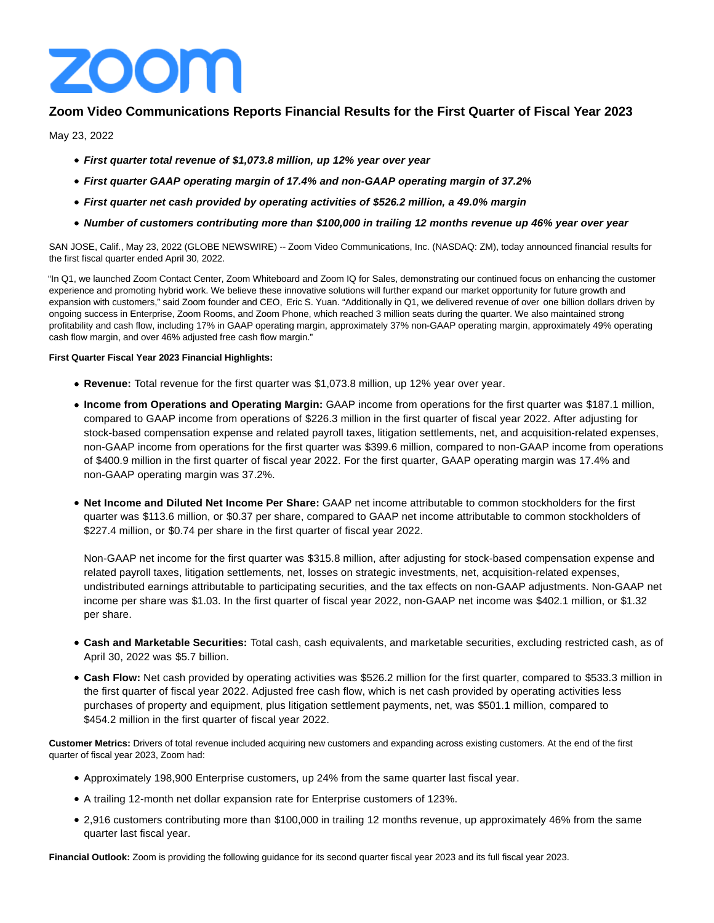

# **Zoom Video Communications Reports Financial Results for the First Quarter of Fiscal Year 2023**

May 23, 2022

- **First quarter total revenue of \$1,073.8 million, up 12% year over year**
- **First quarter GAAP operating margin of 17.4% and non-GAAP operating margin of 37.2%**
- **First quarter net cash provided by operating activities of \$526.2 million, a 49.0% margin**
- **Number of customers contributing more than \$100,000 in trailing 12 months revenue up 46% year over year**

SAN JOSE, Calif., May 23, 2022 (GLOBE NEWSWIRE) -- Zoom Video Communications, Inc. (NASDAQ: ZM), today announced financial results for the first fiscal quarter ended April 30, 2022.

"In Q1, we launched Zoom Contact Center, Zoom Whiteboard and Zoom IQ for Sales, demonstrating our continued focus on enhancing the customer experience and promoting hybrid work. We believe these innovative solutions will further expand our market opportunity for future growth and expansion with customers," said Zoom founder and CEO, Eric S. Yuan. "Additionally in Q1, we delivered revenue of over one billion dollars driven by ongoing success in Enterprise, Zoom Rooms, and Zoom Phone, which reached 3 million seats during the quarter. We also maintained strong profitability and cash flow, including 17% in GAAP operating margin, approximately 37% non-GAAP operating margin, approximately 49% operating cash flow margin, and over 46% adjusted free cash flow margin."

## **First Quarter Fiscal Year 2023 Financial Highlights:**

- **Revenue:** Total revenue for the first quarter was \$1,073.8 million, up 12% year over year.
- **Income from Operations and Operating Margin:** GAAP income from operations for the first quarter was \$187.1 million, compared to GAAP income from operations of \$226.3 million in the first quarter of fiscal year 2022. After adjusting for stock-based compensation expense and related payroll taxes, litigation settlements, net, and acquisition-related expenses, non-GAAP income from operations for the first quarter was \$399.6 million, compared to non-GAAP income from operations of \$400.9 million in the first quarter of fiscal year 2022. For the first quarter, GAAP operating margin was 17.4% and non-GAAP operating margin was 37.2%.
- **Net Income and Diluted Net Income Per Share:** GAAP net income attributable to common stockholders for the first quarter was \$113.6 million, or \$0.37 per share, compared to GAAP net income attributable to common stockholders of \$227.4 million, or \$0.74 per share in the first quarter of fiscal year 2022.

Non-GAAP net income for the first quarter was \$315.8 million, after adjusting for stock-based compensation expense and related payroll taxes, litigation settlements, net, losses on strategic investments, net, acquisition-related expenses, undistributed earnings attributable to participating securities, and the tax effects on non-GAAP adjustments. Non-GAAP net income per share was \$1.03. In the first quarter of fiscal year 2022, non-GAAP net income was \$402.1 million, or \$1.32 per share.

- **Cash and Marketable Securities:** Total cash, cash equivalents, and marketable securities, excluding restricted cash, as of April 30, 2022 was \$5.7 billion.
- **Cash Flow:** Net cash provided by operating activities was \$526.2 million for the first quarter, compared to \$533.3 million in the first quarter of fiscal year 2022. Adjusted free cash flow, which is net cash provided by operating activities less purchases of property and equipment, plus litigation settlement payments, net, was \$501.1 million, compared to \$454.2 million in the first quarter of fiscal year 2022.

**Customer Metrics:** Drivers of total revenue included acquiring new customers and expanding across existing customers. At the end of the first quarter of fiscal year 2023, Zoom had:

- Approximately 198,900 Enterprise customers, up 24% from the same quarter last fiscal year.
- A trailing 12-month net dollar expansion rate for Enterprise customers of 123%.
- 2,916 customers contributing more than \$100,000 in trailing 12 months revenue, up approximately 46% from the same quarter last fiscal year.

**Financial Outlook:** Zoom is providing the following guidance for its second quarter fiscal year 2023 and its full fiscal year 2023.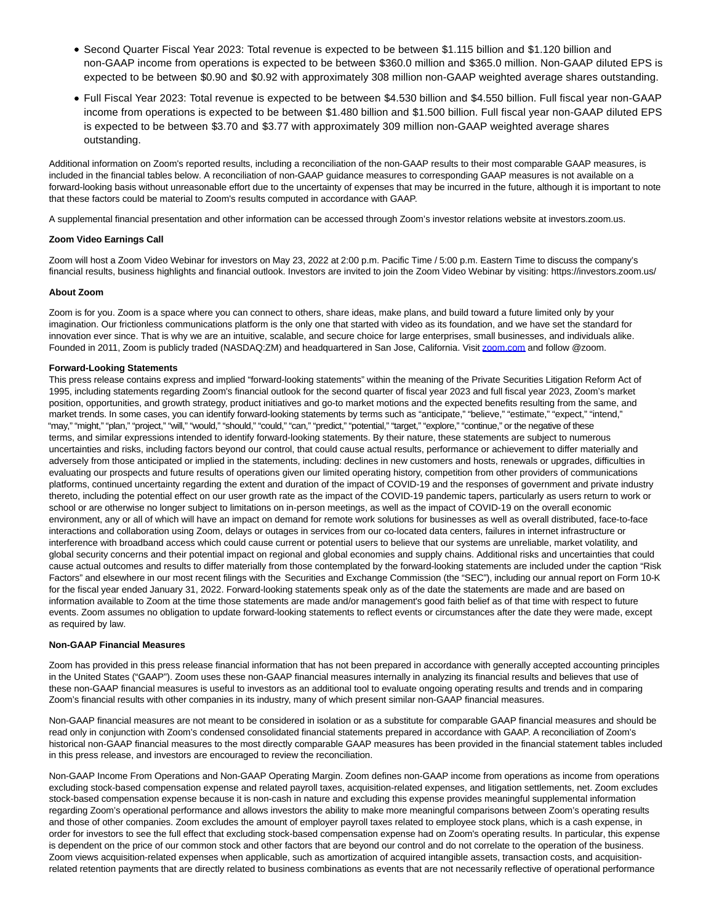- Second Quarter Fiscal Year 2023: Total revenue is expected to be between \$1.115 billion and \$1.120 billion and non-GAAP income from operations is expected to be between \$360.0 million and \$365.0 million. Non-GAAP diluted EPS is expected to be between \$0.90 and \$0.92 with approximately 308 million non-GAAP weighted average shares outstanding.
- Full Fiscal Year 2023: Total revenue is expected to be between \$4.530 billion and \$4.550 billion. Full fiscal year non-GAAP income from operations is expected to be between \$1.480 billion and \$1.500 billion. Full fiscal year non-GAAP diluted EPS is expected to be between \$3.70 and \$3.77 with approximately 309 million non-GAAP weighted average shares outstanding.

Additional information on Zoom's reported results, including a reconciliation of the non-GAAP results to their most comparable GAAP measures, is included in the financial tables below. A reconciliation of non-GAAP guidance measures to corresponding GAAP measures is not available on a forward-looking basis without unreasonable effort due to the uncertainty of expenses that may be incurred in the future, although it is important to note that these factors could be material to Zoom's results computed in accordance with GAAP.

A supplemental financial presentation and other information can be accessed through Zoom's investor relations website at investors.zoom.us.

## **Zoom Video Earnings Call**

Zoom will host a Zoom Video Webinar for investors on May 23, 2022 at 2:00 p.m. Pacific Time / 5:00 p.m. Eastern Time to discuss the company's financial results, business highlights and financial outlook. Investors are invited to join the Zoom Video Webinar by visiting: https://investors.zoom.us/

#### **About Zoom**

Zoom is for you. Zoom is a space where you can connect to others, share ideas, make plans, and build toward a future limited only by your imagination. Our frictionless communications platform is the only one that started with video as its foundation, and we have set the standard for innovation ever since. That is why we are an intuitive, scalable, and secure choice for large enterprises, small businesses, and individuals alike. Founded in 2011, Zoom is publicly traded (NASDAQ:ZM) and headquartered in San Jose, California. Visit [zoom.com a](https://www.globenewswire.com/Tracker?data=qnbir0uPsUkWzECfXZWByimMFBfhmP1iuchCNRCnRY4JqUe42MBHUavYJoQQYZFUE6OsWv5w7vdDmaYyqeWew38UV5_QQLP927pSXuHNIdxbCgOvvmuKucGi__7zxo8N)nd follow @zoom.

#### **Forward-Looking Statements**

This press release contains express and implied "forward-looking statements" within the meaning of the Private Securities Litigation Reform Act of 1995, including statements regarding Zoom's financial outlook for the second quarter of fiscal year 2023 and full fiscal year 2023, Zoom's market position, opportunities, and growth strategy, product initiatives and go-to market motions and the expected benefits resulting from the same, and market trends. In some cases, you can identify forward-looking statements by terms such as "anticipate," "believe," "estimate," "expect," "intend," "may," "might," "plan," "project," "will," "would," "should," "could," "can," "predict," "potential," "target," "explore," "continue," or the negative of these terms, and similar expressions intended to identify forward-looking statements. By their nature, these statements are subject to numerous uncertainties and risks, including factors beyond our control, that could cause actual results, performance or achievement to differ materially and adversely from those anticipated or implied in the statements, including: declines in new customers and hosts, renewals or upgrades, difficulties in evaluating our prospects and future results of operations given our limited operating history, competition from other providers of communications platforms, continued uncertainty regarding the extent and duration of the impact of COVID-19 and the responses of government and private industry thereto, including the potential effect on our user growth rate as the impact of the COVID-19 pandemic tapers, particularly as users return to work or school or are otherwise no longer subject to limitations on in-person meetings, as well as the impact of COVID-19 on the overall economic environment, any or all of which will have an impact on demand for remote work solutions for businesses as well as overall distributed, face-to-face interactions and collaboration using Zoom, delays or outages in services from our co-located data centers, failures in internet infrastructure or interference with broadband access which could cause current or potential users to believe that our systems are unreliable, market volatility, and global security concerns and their potential impact on regional and global economies and supply chains. Additional risks and uncertainties that could cause actual outcomes and results to differ materially from those contemplated by the forward-looking statements are included under the caption "Risk Factors" and elsewhere in our most recent filings with the Securities and Exchange Commission (the "SEC"), including our annual report on Form 10-K for the fiscal year ended January 31, 2022. Forward-looking statements speak only as of the date the statements are made and are based on information available to Zoom at the time those statements are made and/or management's good faith belief as of that time with respect to future events. Zoom assumes no obligation to update forward-looking statements to reflect events or circumstances after the date they were made, except as required by law.

#### **Non-GAAP Financial Measures**

Zoom has provided in this press release financial information that has not been prepared in accordance with generally accepted accounting principles in the United States ("GAAP"). Zoom uses these non-GAAP financial measures internally in analyzing its financial results and believes that use of these non-GAAP financial measures is useful to investors as an additional tool to evaluate ongoing operating results and trends and in comparing Zoom's financial results with other companies in its industry, many of which present similar non-GAAP financial measures.

Non-GAAP financial measures are not meant to be considered in isolation or as a substitute for comparable GAAP financial measures and should be read only in conjunction with Zoom's condensed consolidated financial statements prepared in accordance with GAAP. A reconciliation of Zoom's historical non-GAAP financial measures to the most directly comparable GAAP measures has been provided in the financial statement tables included in this press release, and investors are encouraged to review the reconciliation.

Non-GAAP Income From Operations and Non-GAAP Operating Margin. Zoom defines non-GAAP income from operations as income from operations excluding stock-based compensation expense and related payroll taxes, acquisition-related expenses, and litigation settlements, net. Zoom excludes stock-based compensation expense because it is non-cash in nature and excluding this expense provides meaningful supplemental information regarding Zoom's operational performance and allows investors the ability to make more meaningful comparisons between Zoom's operating results and those of other companies. Zoom excludes the amount of employer payroll taxes related to employee stock plans, which is a cash expense, in order for investors to see the full effect that excluding stock-based compensation expense had on Zoom's operating results. In particular, this expense is dependent on the price of our common stock and other factors that are beyond our control and do not correlate to the operation of the business. Zoom views acquisition-related expenses when applicable, such as amortization of acquired intangible assets, transaction costs, and acquisitionrelated retention payments that are directly related to business combinations as events that are not necessarily reflective of operational performance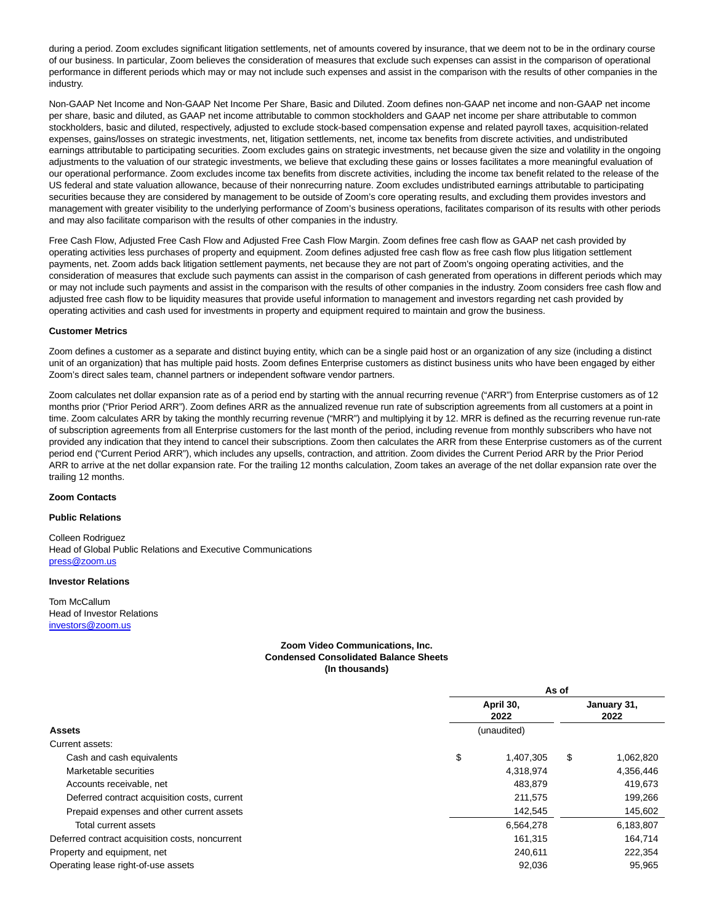during a period. Zoom excludes significant litigation settlements, net of amounts covered by insurance, that we deem not to be in the ordinary course of our business. In particular, Zoom believes the consideration of measures that exclude such expenses can assist in the comparison of operational performance in different periods which may or may not include such expenses and assist in the comparison with the results of other companies in the industry.

Non-GAAP Net Income and Non-GAAP Net Income Per Share, Basic and Diluted. Zoom defines non-GAAP net income and non-GAAP net income per share, basic and diluted, as GAAP net income attributable to common stockholders and GAAP net income per share attributable to common stockholders, basic and diluted, respectively, adjusted to exclude stock-based compensation expense and related payroll taxes, acquisition-related expenses, gains/losses on strategic investments, net, litigation settlements, net, income tax benefits from discrete activities, and undistributed earnings attributable to participating securities. Zoom excludes gains on strategic investments, net because given the size and volatility in the ongoing adjustments to the valuation of our strategic investments, we believe that excluding these gains or losses facilitates a more meaningful evaluation of our operational performance. Zoom excludes income tax benefits from discrete activities, including the income tax benefit related to the release of the US federal and state valuation allowance, because of their nonrecurring nature. Zoom excludes undistributed earnings attributable to participating securities because they are considered by management to be outside of Zoom's core operating results, and excluding them provides investors and management with greater visibility to the underlying performance of Zoom's business operations, facilitates comparison of its results with other periods and may also facilitate comparison with the results of other companies in the industry.

Free Cash Flow, Adjusted Free Cash Flow and Adjusted Free Cash Flow Margin. Zoom defines free cash flow as GAAP net cash provided by operating activities less purchases of property and equipment. Zoom defines adjusted free cash flow as free cash flow plus litigation settlement payments, net. Zoom adds back litigation settlement payments, net because they are not part of Zoom's ongoing operating activities, and the consideration of measures that exclude such payments can assist in the comparison of cash generated from operations in different periods which may or may not include such payments and assist in the comparison with the results of other companies in the industry. Zoom considers free cash flow and adjusted free cash flow to be liquidity measures that provide useful information to management and investors regarding net cash provided by operating activities and cash used for investments in property and equipment required to maintain and grow the business.

#### **Customer Metrics**

Zoom defines a customer as a separate and distinct buying entity, which can be a single paid host or an organization of any size (including a distinct unit of an organization) that has multiple paid hosts. Zoom defines Enterprise customers as distinct business units who have been engaged by either Zoom's direct sales team, channel partners or independent software vendor partners.

Zoom calculates net dollar expansion rate as of a period end by starting with the annual recurring revenue ("ARR") from Enterprise customers as of 12 months prior ("Prior Period ARR"). Zoom defines ARR as the annualized revenue run rate of subscription agreements from all customers at a point in time. Zoom calculates ARR by taking the monthly recurring revenue ("MRR") and multiplying it by 12. MRR is defined as the recurring revenue run-rate of subscription agreements from all Enterprise customers for the last month of the period, including revenue from monthly subscribers who have not provided any indication that they intend to cancel their subscriptions. Zoom then calculates the ARR from these Enterprise customers as of the current period end ("Current Period ARR"), which includes any upsells, contraction, and attrition. Zoom divides the Current Period ARR by the Prior Period ARR to arrive at the net dollar expansion rate. For the trailing 12 months calculation, Zoom takes an average of the net dollar expansion rate over the trailing 12 months.

#### **Zoom Contacts**

### **Public Relations**

Colleen Rodriguez Head of Global Public Relations and Executive Communications [press@zoom.us](mailto:press@zoom.us)

#### **Investor Relations**

Tom McCallum Head of Investor Relations [investors@zoom.us](mailto:investors@zoom.us)

## **Zoom Video Communications, Inc. Condensed Consolidated Balance Sheets (In thousands)**

|                                                 | As of |                   |    |                     |  |
|-------------------------------------------------|-------|-------------------|----|---------------------|--|
|                                                 |       | April 30,<br>2022 |    | January 31,<br>2022 |  |
| <b>Assets</b>                                   |       | (unaudited)       |    |                     |  |
| Current assets:                                 |       |                   |    |                     |  |
| Cash and cash equivalents                       | \$    | 1,407,305         | \$ | 1,062,820           |  |
| Marketable securities                           |       | 4,318,974         |    | 4,356,446           |  |
| Accounts receivable, net                        |       | 483.879           |    | 419,673             |  |
| Deferred contract acquisition costs, current    |       | 211.575           |    | 199,266             |  |
| Prepaid expenses and other current assets       |       | 142,545           |    | 145,602             |  |
| Total current assets                            |       | 6,564,278         |    | 6,183,807           |  |
| Deferred contract acquisition costs, noncurrent |       | 161,315           |    | 164,714             |  |
| Property and equipment, net                     |       | 240.611           |    | 222,354             |  |
| Operating lease right-of-use assets             |       | 92,036            |    | 95,965              |  |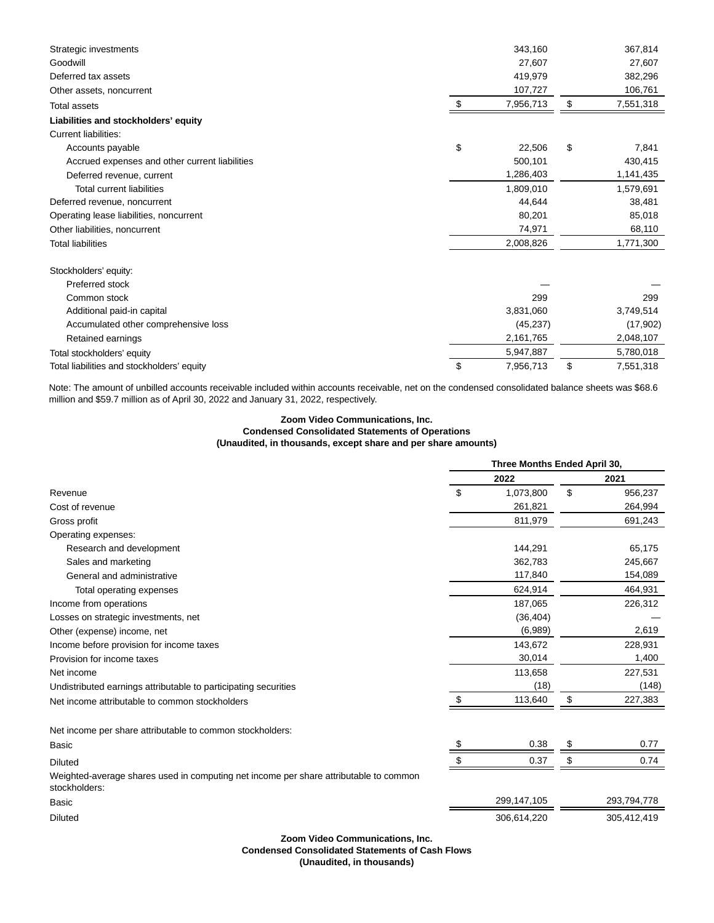| Strategic investments                          | 343,160         | 367,814         |
|------------------------------------------------|-----------------|-----------------|
| Goodwill                                       | 27,607          | 27,607          |
| Deferred tax assets                            | 419,979         | 382,296         |
| Other assets, noncurrent                       | 107,727         | 106,761         |
| <b>Total assets</b>                            | \$<br>7,956,713 | \$<br>7,551,318 |
| Liabilities and stockholders' equity           |                 |                 |
| <b>Current liabilities:</b>                    |                 |                 |
| Accounts payable                               | \$<br>22,506    | \$<br>7,841     |
| Accrued expenses and other current liabilities | 500,101         | 430,415         |
| Deferred revenue, current                      | 1,286,403       | 1,141,435       |
| <b>Total current liabilities</b>               | 1,809,010       | 1,579,691       |
| Deferred revenue, noncurrent                   | 44,644          | 38,481          |
| Operating lease liabilities, noncurrent        | 80,201          | 85,018          |
| Other liabilities, noncurrent                  | 74,971          | 68,110          |
| <b>Total liabilities</b>                       | 2,008,826       | 1,771,300       |
| Stockholders' equity:                          |                 |                 |
| Preferred stock                                |                 |                 |
| Common stock                                   | 299             | 299             |
| Additional paid-in capital                     | 3,831,060       | 3,749,514       |
| Accumulated other comprehensive loss           | (45, 237)       | (17,902)        |
| Retained earnings                              | 2,161,765       | 2,048,107       |
| Total stockholders' equity                     | 5,947,887       | 5,780,018       |
| Total liabilities and stockholders' equity     | \$<br>7.956.713 | \$<br>7,551,318 |

Note: The amount of unbilled accounts receivable included within accounts receivable, net on the condensed consolidated balance sheets was \$68.6 million and \$59.7 million as of April 30, 2022 and January 31, 2022, respectively.

## **Zoom Video Communications, Inc. Condensed Consolidated Statements of Operations (Unaudited, in thousands, except share and per share amounts)**

|                                                                                                        |    | Three Months Ended April 30, |    |             |  |
|--------------------------------------------------------------------------------------------------------|----|------------------------------|----|-------------|--|
|                                                                                                        |    | 2022                         |    | 2021        |  |
| Revenue                                                                                                | \$ | 1,073,800                    | \$ | 956,237     |  |
| Cost of revenue                                                                                        |    | 261,821                      |    | 264,994     |  |
| Gross profit                                                                                           |    | 811,979                      |    | 691,243     |  |
| Operating expenses:                                                                                    |    |                              |    |             |  |
| Research and development                                                                               |    | 144,291                      |    | 65,175      |  |
| Sales and marketing                                                                                    |    | 362,783                      |    | 245,667     |  |
| General and administrative                                                                             |    | 117,840                      |    | 154,089     |  |
| Total operating expenses                                                                               |    | 624,914                      |    | 464,931     |  |
| Income from operations                                                                                 |    | 187,065                      |    | 226,312     |  |
| Losses on strategic investments, net                                                                   |    | (36, 404)                    |    |             |  |
| Other (expense) income, net                                                                            |    | (6,989)                      |    | 2,619       |  |
| Income before provision for income taxes                                                               |    | 143,672                      |    | 228,931     |  |
| Provision for income taxes                                                                             |    | 30,014                       |    | 1,400       |  |
| Net income                                                                                             |    | 113,658                      |    | 227,531     |  |
| Undistributed earnings attributable to participating securities                                        |    | (18)                         |    | (148)       |  |
| Net income attributable to common stockholders                                                         | -S | 113,640                      | \$ | 227,383     |  |
| Net income per share attributable to common stockholders:                                              |    |                              |    |             |  |
| <b>Basic</b>                                                                                           | S  | 0.38                         |    | 0.77        |  |
| <b>Diluted</b>                                                                                         | \$ | 0.37                         | \$ | 0.74        |  |
| Weighted-average shares used in computing net income per share attributable to common<br>stockholders: |    |                              |    |             |  |
| <b>Basic</b>                                                                                           |    | 299,147,105                  |    | 293,794,778 |  |
| <b>Diluted</b>                                                                                         |    | 306,614,220                  |    | 305,412,419 |  |

**Zoom Video Communications, Inc.**

## **Condensed Consolidated Statements of Cash Flows**

**(Unaudited, in thousands)**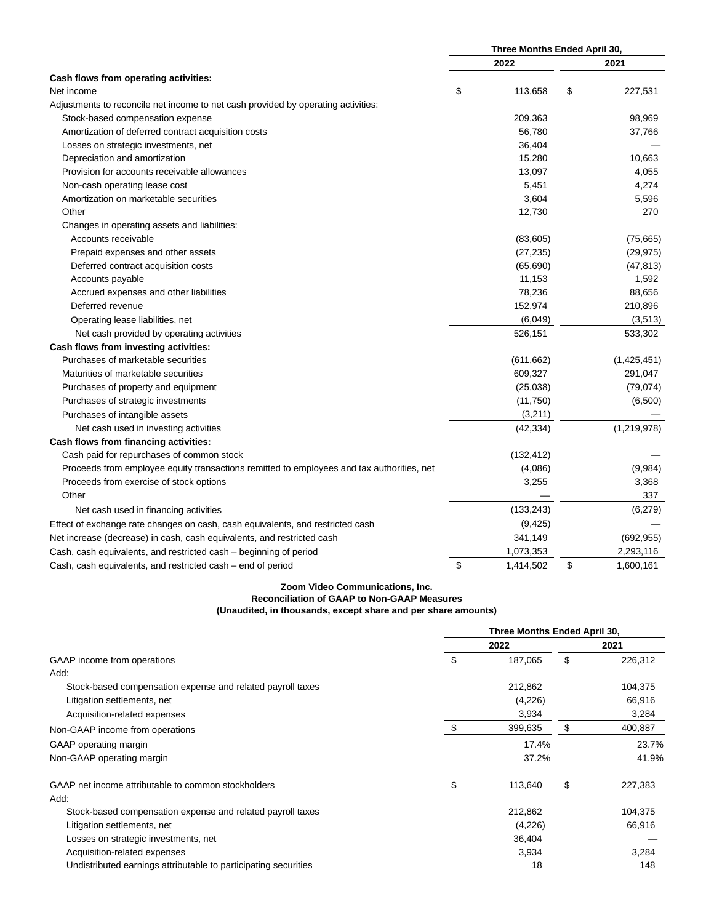|                                                                                           | Three Months Ended April 30, |            |    |             |
|-------------------------------------------------------------------------------------------|------------------------------|------------|----|-------------|
|                                                                                           |                              | 2022       |    | 2021        |
| Cash flows from operating activities:                                                     |                              |            |    |             |
| Net income                                                                                | \$                           | 113,658    | \$ | 227,531     |
| Adjustments to reconcile net income to net cash provided by operating activities:         |                              |            |    |             |
| Stock-based compensation expense                                                          |                              | 209,363    |    | 98,969      |
| Amortization of deferred contract acquisition costs                                       |                              | 56,780     |    | 37,766      |
| Losses on strategic investments, net                                                      |                              | 36,404     |    |             |
| Depreciation and amortization                                                             |                              | 15,280     |    | 10,663      |
| Provision for accounts receivable allowances                                              |                              | 13,097     |    | 4,055       |
| Non-cash operating lease cost                                                             |                              | 5,451      |    | 4,274       |
| Amortization on marketable securities                                                     |                              | 3,604      |    | 5,596       |
| Other                                                                                     |                              | 12,730     |    | 270         |
| Changes in operating assets and liabilities:                                              |                              |            |    |             |
| Accounts receivable                                                                       |                              | (83,605)   |    | (75,665)    |
| Prepaid expenses and other assets                                                         |                              | (27, 235)  |    | (29, 975)   |
| Deferred contract acquisition costs                                                       |                              | (65, 690)  |    | (47, 813)   |
| Accounts payable                                                                          |                              | 11,153     |    | 1,592       |
| Accrued expenses and other liabilities                                                    |                              | 78,236     |    | 88,656      |
| Deferred revenue                                                                          |                              | 152,974    |    | 210,896     |
| Operating lease liabilities, net                                                          |                              | (6,049)    |    | (3,513)     |
| Net cash provided by operating activities                                                 |                              | 526,151    |    | 533,302     |
| Cash flows from investing activities:                                                     |                              |            |    |             |
| Purchases of marketable securities                                                        |                              | (611, 662) |    | (1,425,451) |
| Maturities of marketable securities                                                       |                              | 609,327    |    | 291,047     |
| Purchases of property and equipment                                                       |                              | (25,038)   |    | (79, 074)   |
| Purchases of strategic investments                                                        |                              | (11,750)   |    | (6,500)     |
| Purchases of intangible assets                                                            |                              | (3,211)    |    |             |
| Net cash used in investing activities                                                     |                              | (42, 334)  |    | (1,219,978) |
| Cash flows from financing activities:                                                     |                              |            |    |             |
| Cash paid for repurchases of common stock                                                 |                              | (132, 412) |    |             |
| Proceeds from employee equity transactions remitted to employees and tax authorities, net |                              | (4,086)    |    | (9,984)     |
| Proceeds from exercise of stock options                                                   |                              | 3,255      |    | 3,368       |
| Other                                                                                     |                              |            |    | 337         |
| Net cash used in financing activities                                                     |                              | (133, 243) |    | (6, 279)    |
| Effect of exchange rate changes on cash, cash equivalents, and restricted cash            |                              | (9, 425)   |    |             |
| Net increase (decrease) in cash, cash equivalents, and restricted cash                    |                              | 341,149    |    | (692, 955)  |
| Cash, cash equivalents, and restricted cash – beginning of period                         |                              | 1,073,353  |    | 2,293,116   |
| Cash, cash equivalents, and restricted cash – end of period                               | \$                           | 1,414,502  | \$ | 1,600,161   |

# **Zoom Video Communications, Inc. Reconciliation of GAAP to Non-GAAP Measures**

**(Unaudited, in thousands, except share and per share amounts)**

|                                                                 | Three Months Ended April 30, |         |    |         |
|-----------------------------------------------------------------|------------------------------|---------|----|---------|
|                                                                 |                              | 2022    |    | 2021    |
| GAAP income from operations                                     | \$                           | 187,065 | \$ | 226,312 |
| Add:                                                            |                              |         |    |         |
| Stock-based compensation expense and related payroll taxes      |                              | 212,862 |    | 104,375 |
| Litigation settlements, net                                     |                              | (4,226) |    | 66,916  |
| Acquisition-related expenses                                    |                              | 3,934   |    | 3,284   |
| Non-GAAP income from operations                                 |                              | 399,635 | \$ | 400,887 |
| GAAP operating margin                                           |                              | 17.4%   |    | 23.7%   |
| Non-GAAP operating margin                                       |                              | 37.2%   |    | 41.9%   |
| GAAP net income attributable to common stockholders             | \$                           | 113,640 | \$ | 227,383 |
| Add:                                                            |                              |         |    |         |
| Stock-based compensation expense and related payroll taxes      |                              | 212,862 |    | 104,375 |
| Litigation settlements, net                                     |                              | (4,226) |    | 66,916  |
| Losses on strategic investments, net                            |                              | 36,404  |    |         |
| Acquisition-related expenses                                    |                              | 3,934   |    | 3,284   |
| Undistributed earnings attributable to participating securities |                              | 18      |    | 148     |